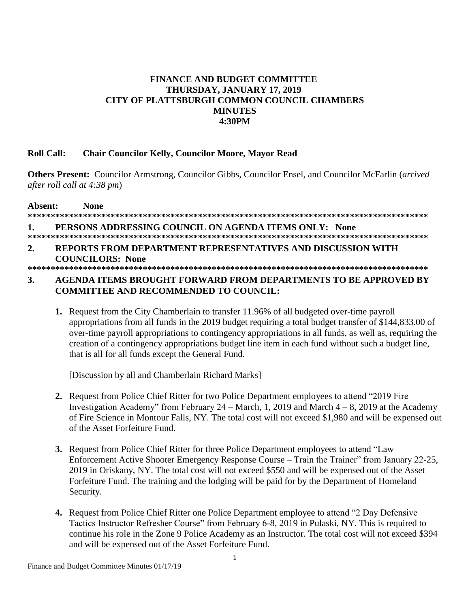# **FINANCE AND BUDGET COMMITTEE** THURSDAY, JANUARY 17, 2019 CITY OF PLATTSBURGH COMMON COUNCIL CHAMBERS **MINUTES 4:30PM**

### **Roll Call: Chair Councilor Kelly, Councilor Moore, Mayor Read**

**Others Present:** Councilor Armstrong, Councilor Gibbs, Councilor Ensel, and Councilor McFarlin (arrived) after roll call at 4:38 pm)

Absent: **None** PERSONS ADDRESSING COUNCIL ON AGENDA ITEMS ONLY: None 1. REPORTS FROM DEPARTMENT REPRESENTATIVES AND DISCUSSION WITH  $2.$ **COUNCILORS: None** 

## AGENDA ITEMS BROUGHT FORWARD FROM DEPARTMENTS TO BE APPROVED BY 3. **COMMITTEE AND RECOMMENDED TO COUNCIL:**

1. Request from the City Chamberlain to transfer 11.96% of all budgeted over-time payroll appropriations from all funds in the 2019 budget requiring a total budget transfer of \$144,833.00 of over-time payroll appropriations to contingency appropriations in all funds, as well as, requiring the creation of a contingency appropriations budget line item in each fund without such a budget line, that is all for all funds except the General Fund.

[Discussion by all and Chamberlain Richard Marks]

- 2. Request from Police Chief Ritter for two Police Department employees to attend "2019 Fire" Investigation Academy" from February 24 – March, 1, 2019 and March  $4 - 8$ , 2019 at the Academy of Fire Science in Montour Falls, NY. The total cost will not exceed \$1,980 and will be expensed out of the Asset Forfeiture Fund.
- 3. Request from Police Chief Ritter for three Police Department employees to attend "Law Enforcement Active Shooter Emergency Response Course – Train the Trainer" from January 22-25, 2019 in Oriskany, NY. The total cost will not exceed \$550 and will be expensed out of the Asset Forfeiture Fund. The training and the lodging will be paid for by the Department of Homeland Security.
- 4. Request from Police Chief Ritter one Police Department employee to attend "2 Day Defensive" Tactics Instructor Refresher Course" from February 6-8, 2019 in Pulaski, NY. This is required to continue his role in the Zone 9 Police Academy as an Instructor. The total cost will not exceed \$394 and will be expensed out of the Asset Forfeiture Fund.